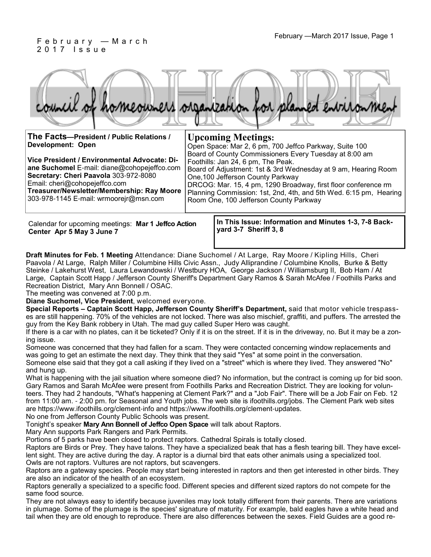### February —March 2017 Issue, Page 1 F e b r u a r y — M a r c h 2 0 1 7 I s s u e

|  |  |  | council of homeowners organization for planned environment |
|--|--|--|------------------------------------------------------------|
|  |  |  |                                                            |

| The Facts-President / Public Relations /                                                                                                                                                                                                                      | <b>Upcoming Meetings:</b>                                                                                                                                                                                                                                                                                                                                                            |  |  |  |  |  |
|---------------------------------------------------------------------------------------------------------------------------------------------------------------------------------------------------------------------------------------------------------------|--------------------------------------------------------------------------------------------------------------------------------------------------------------------------------------------------------------------------------------------------------------------------------------------------------------------------------------------------------------------------------------|--|--|--|--|--|
| <b>Development: Open</b>                                                                                                                                                                                                                                      | Open Space: Mar 2, 6 pm, 700 Jeffco Parkway, Suite 100                                                                                                                                                                                                                                                                                                                               |  |  |  |  |  |
| Vice President / Environmental Advocate: Di-<br>ane Suchomel E-mail: diane@cohopejeffco.com<br>Secretary: Cheri Paavola 303-972-8080<br>Email: cheri@cohopejeffco.com<br>Treasurer/Newsletter/Membership: Ray Moore<br>303-978-1145 E-mail: wrmoorejr@msn.com | Board of County Commissioners Every Tuesday at 8:00 am<br>Foothills: Jan 24, 6 pm, The Peak.<br>Board of Adjustment: 1st & 3rd Wednesday at 9 am, Hearing Room<br>One, 100 Jefferson County Parkway<br>DRCOG: Mar. 15, 4 pm, 1290 Broadway, first floor conference rm<br>Planning Commission: 1st, 2nd, 4th, and 5th Wed. 6:15 pm, Hearing<br>Room One, 100 Jefferson County Parkway |  |  |  |  |  |
|                                                                                                                                                                                                                                                               |                                                                                                                                                                                                                                                                                                                                                                                      |  |  |  |  |  |

Calendar for upcoming meetings: **Mar 1 Jeffco Action Center Apr 5 May 3 June 7** 

**In This Issue: Information and Minutes 1-3, 7-8 Backyard 3-7 Sheriff 3, 8** 

**Draft Minutes for Feb. 1 Meeting** Attendance: Diane Suchomel / At Large, Ray Moore / Kipling Hills, Cheri Paavola / At Large, Ralph Miller / Columbine Hills Civic Assn., Judy Alliprandine / Columbine Knolls, Burke & Betty Steinke / Lakehurst West, Laura Lewandowski / Westbury HOA, George Jackson / Williamsburg II, Bob Ham / At Large, Captain Scott Happ / Jefferson County Sheriff's Department Gary Ramos & Sarah McAfee / Foothills Parks and Recreation District, Mary Ann Bonnell / OSAC.

The meeting was convened at 7:00 p.m.

**Diane Suchomel, Vice President**, welcomed everyone.

**Special Reports – Captain Scott Happ, Jefferson County Sheriff's Department,** said that motor vehicle trespasses are still happening. 70% of the vehicles are not locked. There was also mischief, graffiti, and puffers. The arrested the guy from the Key Bank robbery in Utah. The mad guy called Super Hero was caught.

If there is a car with no plates, can it be ticketed? Only if it is on the street. If it is in the driveway, no. But it may be a zoning issue.

Someone was concerned that they had fallen for a scam. They were contacted concerning window replacements and was going to get an estimate the next day. They think that they said "Yes" at some point in the conversation. Someone else said that they got a call asking if they lived on a "street" which is where they lived. They answered "No" and hung up.

What is happening with the jail situation where someone died? No information, but the contract is coming up for bid soon. Gary Ramos and Sarah McAfee were present from Foothills Parks and Recreation District. They are looking for volunteers. They had 2 handouts, "What's happening at Clement Park?" and a "Job Fair". There will be a Job Fair on Feb. 12 from 11:00 am. - 2:00 pm. for Seasonal and Youth jobs. The web site is ifoothills.org/jobs. The Clement Park web sites are https://www.ifoothills.org/clement-info and https://www.ifoothills.org/clement-updates.

No one from Jefferson County Public Schools was present.

Tonight's speaker **Mary Ann Bonnell of Jeffco Open Space** will talk about Raptors.

Mary Ann supports Park Rangers and Park Permits.

Portions of 5 parks have been closed to protect raptors. Cathedral Spirals is totally closed.

Raptors are Birds or Prey. They have talons. They have a specialized beak that has a flesh tearing bill. They have excellent sight. They are active during the day. A raptor is a diurnal bird that eats other animals using a specialized tool. Owls are not raptors. Vultures are not raptors, but scavengers.

Raptors are a gateway species. People may start being interested in raptors and then get interested in other birds. They are also an indicator of the health of an ecosystem.

Raptors generally a specialized to a specific food. Different species and different sized raptors do not compete for the same food source.

They are not always easy to identify because juveniles may look totally different from their parents. There are variations in plumage. Some of the plumage is the species' signature of maturity. For example, bald eagles have a white head and tail when they are old enough to reproduce. There are also differences between the sexes. Field Guides are a good re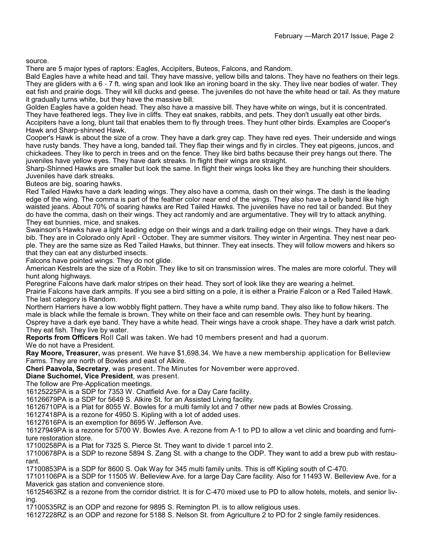source.

There are 5 major types of raptors: Eagles, Accipiters, Buteos, Falcons, and Random.

Bald Eagles have a white head and tail. They have massive, yellow bills and talons. They have no feathers on their legs. They are gliders with a 6 - 7 ft. wing span and look like an ironing board in the sky. They live near bodies of water. They eat fish and prairie dogs. They will kill ducks and geese. The juveniles do not have the white head or tail. As they mature it gradually turns white, but they have the massive bill.

Golden Eagles have a golden head. They also have a massive bill. They have white on wings, but it is concentrated. They have feathered legs. They live in cliffs. They eat snakes, rabbits, and pets. They don't usually eat other birds. Accipiters have a long, blunt tail that enables them to fly through trees. They hunt other birds. Examples are Cooper's Hawk and Sharp-shinned Hawk.

Cooper's Hawk is about the size of a crow. They have a dark grey cap. They have red eyes. Their underside and wings have rusty bands. They have a long, banded tail. They flap their wings and fly in circles. They eat pigeons, juncos, and chickadees. They like to perch in trees and on the fence. They like bird baths because their prey hangs out there. The juveniles have yellow eyes. They have dark streaks. In flight their wings are straight.

Sharp-Shinned Hawks are smaller but look the same. In flight their wings looks like they are hunching their shoulders. Juveniles have dark streaks.

Buteos are big, soaring hawks.

Red Tailed Hawks have a dark leading wings. They also have a comma, dash on their wings. The dash is the leading edge of the wing. The comma is part of the feather color near end of the wings. They also have a belly band like high waisted jeans. About 70% of soaring hawks are Red Tailed Hawks. The juveniles have no red tail or banded. But they do have the comma, dash on their wings. They act randomly and are argumentative. They will try to attack anything. They eat bunnies, mice, and snakes.

Swainson's Hawks have a light leading edge on their wings and a dark trailing edge on their wings. They have a dark bib. They are in Colorado only April - October. They are summer visitors. They winter in Argentina. They nest near people. They are the same size as Red Tailed Hawks, but thinner. They eat insects. They will follow mowers and hikers so that they can eat any disturbed insects.

Falcons have pointed wings. They do not glide.

American Kestrels are the size of a Robin. They like to sit on transmission wires. The males are more colorful. They will hunt along highways.

Peregrine Falcons have dark malor stripes on their head. They sort of look like they are wearing a helmet.

Prairie Falcons have dark armpits. If you see a bird sitting on a pole, it is either a Prairie Falcon or a Red Tailed Hawk. The last category is Random.

Northern Harriers have a low wobbly flight pattern. They have a white rump band. They also like to follow hikers. The male is black while the female is brown. They white on their face and can resemble owls. They hunt by hearing. Osprey have a dark eye band. They have a white head. Their wings have a crook shape. They have a dark wrist patch. They eat fish. They live by water.

**Reports from Officers** Roll Call was taken. We had 10 members present and had a quorum.

We do not have a President.

**Ray Moore, Treasurer,** was present. We have \$1,698.34. We have a new membership application for Belleview Farms. They are north of Bowles and east of Alkire.

**Cheri Paavola, Secretary**, was present. The Minutes for November were approved.

**Diane Suchomel, Vice President**, was present.

The follow are Pre-Application meetings.

16125225PA is a SDP for 7353 W. Chatfield Ave. for a Day Care facility.

16126679PA is a SDP for 5649 S. Alkire St. for an Assisted Living facility.

16126710PA is a Plat for 8055 W. Bowles for a multi family lot and 7 other new pads at Bowles Crossing.

16127418PA is a rezone for 4950 S. Kipling with a lot of added uses.

16127616PA is an exemption for 8695 W. Jefferson Ave.

16127949PA is a rezone for 5700 W. Bowles Ave. A rezone from A-1 to PD to allow a vet clinic and boarding and furniture restoration store.

17100258PA is a Plat for 7325 S. Pierce St. They want to divide 1 parcel into 2.

17100678PA is a SDP to rezone 5894 S. Zang St. with a change to the ODP. They want to add a brew pub with restaurant.

17100853PA is a SDP for 8600 S. Oak Way for 345 multi family units. This is off Kipling south of C-470.

17101106PA is a SDP for 11505 W. Belleview Ave. for a large Day Care facility. Also for 11493 W. Belleview Ave. for a Maverick gas station and convenience store.

16125463RZ is a rezone from the corridor district. It is for C-470 mixed use to PD to allow hotels, motels, and senior living.

17100535RZ is an ODP and rezone for 9895 S. Remington Pl. is to allow religious uses.

16127228RZ is an ODP and rezone for 5188 S. Nelson St. from Agriculture 2 to PD for 2 single family residences.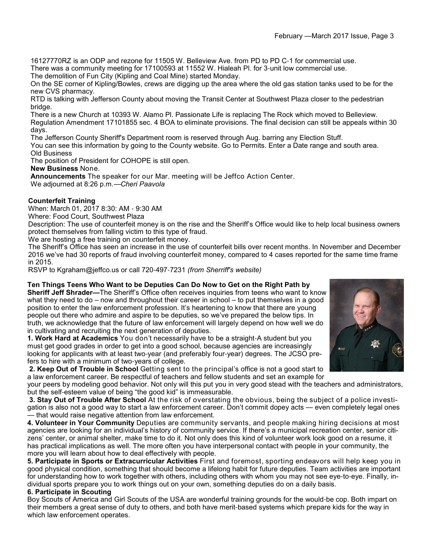16127770RZ is an ODP and rezone for 11505 W. Belleview Ave. from PD to PD C-1 for commercial use. There was a community meeting for 17100593 at 11552 W. Hialeah Pl. for 3-unit low commercial use.

The demolition of Fun City (Kipling and Coal Mine) started Monday.

On the SE corner of Kipling/Bowles, crews are digging up the area where the old gas station tanks used to be for the new CVS pharmacy.

RTD is talking with Jefferson County about moving the Transit Center at Southwest Plaza closer to the pedestrian bridge.

There is a new Church at 10393 W. Alamo Pl. Passionate Life is replacing The Rock which moved to Belleview. Regulation Amendment 17101855 sec. 4 BOA to eliminate provisions. The final decision can still be appeals within 30 days.

The Jefferson County Sheriff's Department room is reserved through Aug. barring any Election Stuff.

You can see this information by going to the County website. Go to Permits. Enter a Date range and south area. Old Business

The position of President for COHOPE is still open.

**New Business** None.

**Announcements** The speaker for our Mar. meeting will be Jeffco Action Center. We adjourned at 8:26 p.m.—*Cheri Paavola*

#### **Counterfeit Training**

When: March 01, 2017 8:30: AM - 9:30 AM

Where: Food Court, Southwest Plaza

Description: The use of counterfeit money is on the rise and the Sheriff's Office would like to help local business owners protect themselves from falling victim to this type of fraud.

We are hosting a free training on counterfeit money.

The Sheriff's Office has seen an increase in the use of counterfeit bills over recent months. In November and December 2016 we've had 30 reports of fraud involving counterfeit money, compared to 4 cases reported for the same time frame in 2015.

RSVP to Kgraham@jeffco.us or call 720-497-7231 *(from Sherriff's website)*

#### **Ten Things Teens Who Want to be Deputies Can Do Now to Get on the Right Path by**

**Sheriff Jeff Shrader—**The Sheriff's Office often receives inquiries from teens who want to know what they need to do – now and throughout their career in school – to put themselves in a good position to enter the law enforcement profession. It's heartening to know that there are young people out there who admire and aspire to be deputies, so we've prepared the below tips. In truth, we acknowledge that the future of law enforcement will largely depend on how well we do in cultivating and recruiting the next generation of deputies.

**1. Work Hard at Academics** You don't necessarily have to be a straight-A student but you must get good grades in order to get into a good school, because agencies are increasingly looking for applicants with at least two-year (and preferably four-year) degrees. The JCSO prefers to hire with a minimum of two-years of college.

**2. Keep Out of Trouble in School** Getting sent to the principal's office is not a good start to a law enforcement career. Be respectful of teachers and fellow students and set an example for

your peers by modeling good behavior. Not only will this put you in very good stead with the teachers and administrators, but the self-esteem value of being "the good kid" is immeasurable.

**3. Stay Out of Trouble After School** At the risk of overstating the obvious, being the subject of a police investigation is also not a good way to start a law enforcement career. Don't commit dopey acts — even completely legal ones — that would raise negative attention from law enforcement.

**4. Volunteer in Your Community** Deputies are community servants, and people making hiring decisions at most agencies are looking for an individual's history of community service. If there's a municipal recreation center, senior citizens' center, or animal shelter, make time to do it. Not only does this kind of volunteer work look good on a resume, it has practical implications as well. The more often you have interpersonal contact with people in your community, the more you will learn about how to deal effectively with people.

**5. Participate in Sports or Extracurricular Activities** First and foremost, sporting endeavors will help keep you in good physical condition, something that should become a lifelong habit for future deputies. Team activities are important for understanding how to work together with others, including others with whom you may not see eye-to-eye. Finally, individual sports prepare you to work things out on your own, something deputies do on a daily basis.

#### **6. Participate in Scouting**

Boy Scouts of America and Girl Scouts of the USA are wonderful training grounds for the would-be cop. Both impart on their members a great sense of duty to others, and both have merit-based systems which prepare kids for the way in which law enforcement operates.

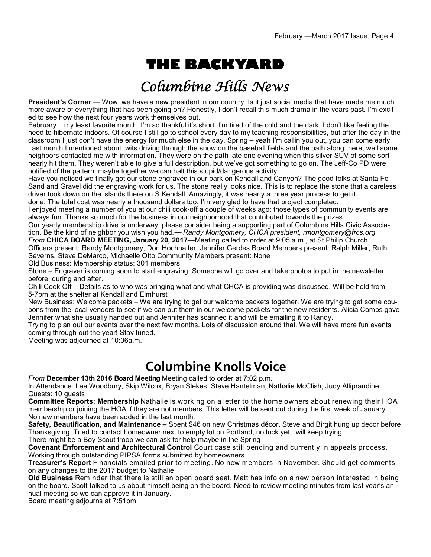# **THE BACKYARD**

## Columbine Hills News

**President's Corner** — Wow, we have a new president in our country. Is it just social media that have made me much more aware of everything that has been going on? Honestly, I don't recall this much drama in the years past. I'm excited to see how the next four years work themselves out.

February... my least favorite month. I'm so thankful it's short. I'm tired of the cold and the dark. I don't like feeling the need to hibernate indoors. Of course I still go to school every day to my teaching responsibilities, but after the day in the classroom I just don't have the energy for much else in the day. Spring – yeah I'm callin you out, you can come early. Last month I mentioned about twits driving through the snow on the baseball fields and the path along there; well some neighbors contacted me with information. They were on the path late one evening when this silver SUV of some sort nearly hit them. They weren't able to give a full description, but we've got something to go on. The Jeff-Co PD were notified of the pattern, maybe together we can halt this stupid/dangerous activity.

Have you noticed we finally got our stone engraved in our park on Kendall and Canyon? The good folks at Santa Fe Sand and Gravel did the engraving work for us. The stone really looks nice. This is to replace the stone that a careless driver took down on the islands there on S Kendall. Amazingly, it was nearly a three year process to get it done. The total cost was nearly a thousand dollars too. I'm very glad to have that project completed.

I enjoyed meeting a number of you at our chili cook-off a couple of weeks ago; those types of community events are always fun. Thanks so much for the business in our neighborhood that contributed towards the prizes.

Our yearly membership drive is underway; please consider being a supporting part of Columbine Hills Civic Association. Be the kind of neighbor you wish you had.— *Randy Montgomery, CHCA president, rmontgomery@frcs.org From* **CHICA BOARD MEETING, January 20, 2017**—Meeting called to order at 9:05 a.m., at St Philip Church.

Officers present: Randy Montgomery, Don Hochhalter, Jennifer Gerdes Board Members present: Ralph Miller, Ruth Severns, Steve DeMarco, Michaelle Otto Community Members present: None

Old Business: Membership status: 301 members

Stone – Engraver is coming soon to start engraving. Someone will go over and take photos to put in the newsletter before, during and after.

Chili Cook Off – Details as to who was bringing what and what CHCA is providing was discussed. Will be held from 5-7pm at the shelter at Kendall and Elmhurst

New Business: Welcome packets – We are trying to get our welcome packets together. We are trying to get some coupons from the local vendors to see if we can put them in our welcome packets for the new residents. Alicia Combs gave Jennifer what she usually handed out and Jennifer has scanned it and will be emailing it to Randy.

Trying to plan out our events over the next few months. Lots of discussion around that. We will have more fun events coming through out the year! Stay tuned.

Meeting was adjourned at 10:06a.m.

## **Columbine Knolls Voice**

*From* **December 13th 2016 Board Meeting** Meeting called to order at 7:02 p.m.

In Attendance: Lee Woodbury, Skip Wilcox, Bryan Slekes, Steve Hantelman, Nathalie McClish, Judy Alliprandine Guests: 10 guests

**Committee Reports: Membership** Nathalie is working on a letter to the home owners about renewing their HOA membership or joining the HOA if they are not members. This letter will be sent out during the first week of January. No new members have been added in the last month.

**Safety, Beautification, and Maintenance –** Spent \$46 on new Christmas décor. Steve and Birgit hung up decor before Thanksgiving. Tried to contact homeowner next to empty lot on Portland, no luck yet...will keep trying.

There might be a Boy Scout troop we can ask for help maybe in the Spring

**Covenant Enforcement and Architectural Control** Court case still pending and currently in appeals process. Working through outstanding PIPSA forms submitted by homeowners.

**Treasurer's Report** Financials emailed prior to meeting. No new members in November. Should get comments on any changes to the 2017 budget to Nathalie.

**Old Business** Reminder that there is still an open board seat. Matt has info on a new person interested in being on the board. Scott talked to us about himself being on the board. Need to review meeting minutes from last year's annual meeting so we can approve it in January.

Board meeting adjourns at 7:51pm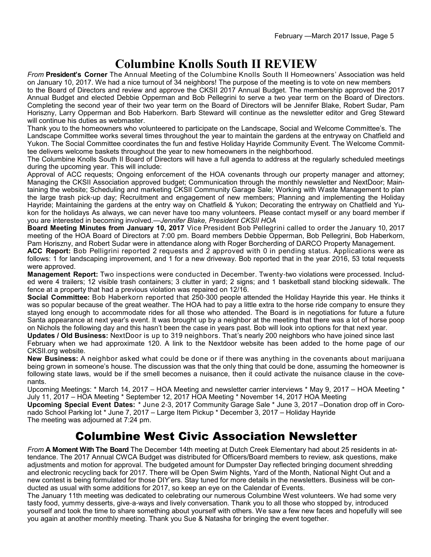## **Columbine Knolls South II REVIEW**

*From* **President's Corner** The Annual Meeting of the Columbine Knolls South II Homeowners' Association was held on January 10, 2017. We had a nice turnout of 34 neighbors! The purpose of the meeting is to vote on new members

to the Board of Directors and review and approve the CKSII 2017 Annual Budget. The membership approved the 2017 Annual Budget and elected Debbie Opperman and Bob Pellegrini to serve a two year term on the Board of Directors. Completing the second year of their two year term on the Board of Directors will be Jennifer Blake, Robert Sudar, Pam Horiszny, Larry Opperman and Bob Haberkorn. Barb Steward will continue as the newsletter editor and Greg Steward will continue his duties as webmaster.

Thank you to the homeowners who volunteered to participate on the Landscape, Social and Welcome Committee's. The Landscape Committee works several times throughout the year to maintain the gardens at the entryway on Chatfield and Yukon. The Social Committee coordinates the fun and festive Holiday Hayride Community Event. The Welcome Committee delivers welcome baskets throughout the year to new homeowners in the neighborhood.

The Columbine Knolls South II Board of Directors will have a full agenda to address at the regularly scheduled meetings during the upcoming year. This will include:

Approval of ACC requests; Ongoing enforcement of the HOA covenants through our property manager and attorney; Managing the CKSII Association approved budget; Communication through the monthly newsletter and NextDoor; Maintaining the website; Scheduling and marketing CKSII Community Garage Sale; Working with Waste Management to plan the large trash pick-up day; Recruitment and engagement of new members; Planning and implementing the Holiday Hayride; Maintaining the gardens at the entry way on Chatfield & Yukon; Decorating the entryway on Chatfield and Yukon for the holidays As always, we can never have too many volunteers. Please contact myself or any board member if you are interested in becoming involved.—*Jennifer Blake, President CKSII HOA*

**Board Meeting Minutes from January 10, 2017** Vice President Bob Pellegrini called to order the January 10, 2017 meeting of the HOA Board of Directors at 7:00 pm. Board members Debbie Opperman, Bob Pellegrini, Bob Haberkorn, Pam Horiszny, and Robert Sudar were in attendance along with Roger Borcherding of DARCO Property Management.

**ACC Report:** Bob Pelligrini reported 2 requests and 2 approved with 0 in pending status. Applications were as follows: 1 for landscaping improvement, and 1 for a new driveway. Bob reported that in the year 2016, 53 total requests were approved.

**Management Report:** Two inspections were conducted in December. Twenty-two violations were processed. Included were 4 trailers; 12 visible trash containers; 3 clutter in yard; 2 signs; and 1 basketball stand blocking sidewalk. The fence at a property that had a previous violation was repaired on 12/16.

**Social Committee:** Bob Haberkorn reported that 250-300 people attended the Holiday Hayride this year. He thinks it was so popular because of the great weather. The HOA had to pay a little extra to the horse ride company to ensure they stayed long enough to accommodate rides for all those who attended. The Board is in negotiations for future a future Santa appearance at next year's event. It was brought up by a neighbor at the meeting that there was a lot of horse poop on Nichols the following day and this hasn't been the case in years past. Bob will look into options for that next year.

**Updates / Old Business:** NextDoor is up to 319 neighbors. That's nearly 200 neighbors who have joined since last February when we had approximate 120. A link to the Nextdoor website has been added to the home page of our CKSII.org website.

**New Business:** A neighbor asked what could be done or if there was anything in the covenants about marijuana being grown in someone's house. The discussion was that the only thing that could be done, assuming the homeowner is following state laws, would be if the smell becomes a nuisance, then it could activate the nuisance clause in the covenants.

Upcoming Meetings: \* March 14, 2017 – HOA Meeting and newsletter carrier interviews \* May 9, 2017 – HOA Meeting \* July 11, 2017 – HOA Meeting \* September 12, 2017 HOA Meeting \* November 14, 2017 HOA Meeting

**Upcoming Special Event Dates:** \* June 2-3, 2017 Community Garage Sale \* June 3, 2017 –Donation drop off in Coronado School Parking lot \* June 7, 2017 – Large Item Pickup \* December 3, 2017 – Holiday Hayride The meeting was adjourned at 7:24 pm.

### Columbine West Civic Association Newsletter

*From* **A Moment With The Board** The December 14th meeting at Dutch Creek Elementary had about 25 residents in attendance. The 2017 Annual CWCA Budget was distributed for Officers/Board members to review, ask questions, make adjustments and motion for approval. The budgeted amount for Dumpster Day reflected bringing document shredding and electronic recycling back for 2017. There will be Open Swim Nights, Yard of the Month, National Night Out and a new contest is being formulated for those DIY'ers. Stay tuned for more details in the newsletters. Business will be conducted as usual with some additions for 2017, so keep an eye on the Calendar of Events.

The January 11th meeting was dedicated to celebrating our numerous Columbine West volunteers. We had some very tasty food, yummy desserts, give-a-ways and lively conversation. Thank you to all those who stopped by, introduced yourself and took the time to share something about yourself with others. We saw a few new faces and hopefully will see you again at another monthly meeting. Thank you Sue & Natasha for bringing the event together.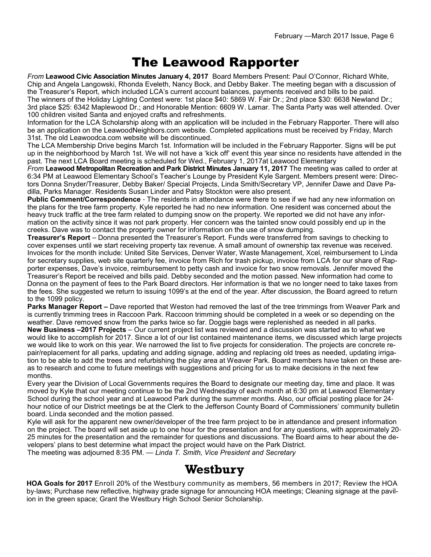## The Leawood Rapporter

*From* **Leawood Civic Association Minutes January 4, 2017** Board Members Present: Paul O'Connor, Richard White, Chip and Angela Langowski, Rhonda Eveleth, Nancy Bock, and Debby Baker. The meeting began with a discussion of the Treasurer's Report, which included LCA's current account balances, payments received and bills to be paid. The winners of the Holiday Lighting Contest were: 1st place \$40: 5869 W. Fair Dr.; 2nd place \$30: 6638 Newland Dr.; 3rd place \$25: 6342 Maplewood Dr.; and Honorable Mention: 6609 W. Lamar. The Santa Party was well attended. Over 100 children visited Santa and enjoyed crafts and refreshments.

Information for the LCA Scholarship along with an application will be included in the February Rapporter. There will also be an application on the LeawoodNeighbors.com website. Completed applications must be received by Friday, March 31st. The old Leawoodca.com website will be discontinued.

The LCA Membership Drive begins March 1st. Information will be included in the February Rapporter. Signs will be put up in the neighborhood by March 1st. We will not have a 'kick off' event this year since no residents have attended in the past. The next LCA Board meeting is scheduled for Wed., February 1, 2017at Leawood Elementary

*From* **Leawood Metropolitan Recreation and Park District Minutes January 11, 2017** The meeting was called to order at 6:34 PM at Leawood Elementary School's Teacher's Lounge by President Kyle Sargent. Members present were: Directors Donna Snyder/Treasurer, Debby Baker/ Special Projects, Linda Smith/Secretary VP, Jennifer Dawe and Dave Padilla, Parks Manager. Residents Susan Linder and Patsy Stockton were also present.

**Public Comment/Correspondence** - The residents in attendance were there to see if we had any new information on the plans for the tree farm property. Kyle reported he had no new information. One resident was concerned about the heavy truck traffic at the tree farm related to dumping snow on the property. We reported we did not have any information on the activity since it was not park property. Her concern was the tainted snow could possibly end up in the creeks. Dave was to contact the property owner for information on the use of snow dumping.

**Treasurer's Report** – Donna presented the Treasurer's Report. Funds were transferred from savings to checking to cover expenses until we start receiving property tax revenue. A small amount of ownership tax revenue was received. Invoices for the month include: United Site Services, Denver Water, Waste Management, Xcel, reimbursement to Linda for secretary supplies, web site quarterly fee, invoice from Rich for trash pickup, invoice from LCA for our share of Rapporter expenses, Dave's invoice, reimbursement to petty cash and invoice for two snow removals. Jennifer moved the Treasurer's Report be received and bills paid. Debby seconded and the motion passed. New information had come to Donna on the payment of fees to the Park Board directors. Her information is that we no longer need to take taxes from the fees. She suggested we return to issuing 1099's at the end of the year. After discussion, the Board agreed to return to the 1099 policy.

**Parks Manager Report –** Dave reported that Weston had removed the last of the tree trimmings from Weaver Park and is currently trimming trees in Raccoon Park. Raccoon trimming should be completed in a week or so depending on the weather. Dave removed snow from the parks twice so far. Doggie bags were replenished as needed in all parks.

**New Business –2017 Projects** – Our current project list was reviewed and a discussion was started as to what we would like to accomplish for 2017. Since a lot of our list contained maintenance items, we discussed which large projects we would like to work on this year. We narrowed the list to five projects for consideration. The projects are concrete repair/replacement for all parks, updating and adding signage, adding and replacing old trees as needed, updating irrigation to be able to add the trees and refurbishing the play area at Weaver Park. Board members have taken on these areas to research and come to future meetings with suggestions and pricing for us to make decisions in the next few months.

Every year the Division of Local Governments requires the Board to designate our meeting day, time and place. It was moved by Kyle that our meeting continue to be the 2nd Wednesday of each month at 6:30 pm at Leawood Elementary School during the school year and at Leawood Park during the summer months. Also, our official posting place for 24 hour notice of our District meetings be at the Clerk to the Jefferson County Board of Commissioners' community bulletin board. Linda seconded and the motion passed.

Kyle will ask for the apparent new owner/developer of the tree farm project to be in attendance and present information on the project. The board will set aside up to one hour for the presentation and for any questions, with approximately 20- 25 minutes for the presentation and the remainder for questions and discussions. The Board aims to hear about the developers' plans to best determine what impact the project would have on the Park District.

The meeting was adjourned 8:35 PM. — *Linda T. Smith, Vice President and Secretary*

### **Westbury**

**HOA Goals for 2017** Enroll 20% of the Westbury community as members, 56 members in 2017; Review the HOA by-laws; Purchase new reflective, highway grade signage for announcing HOA meetings; Cleaning signage at the pavilion in the green space; Grant the Westbury High School Senior Scholarship.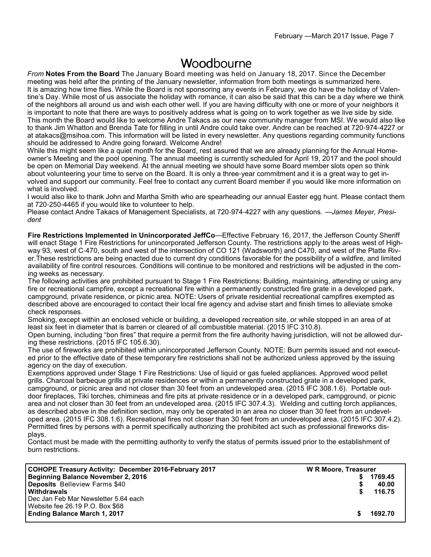### **Woodbourne**

*From* **Notes From the Board** The January Board meeting was held on January 18, 2017. Since the December meeting was held after the printing of the January newsletter, information from both meetings is summarized here. It is amazing how time flies. While the Board is not sponsoring any events in February, we do have the holiday of Valentine's Day. While most of us associate the holiday with romance, it can also be said that this can be a day where we think of the neighbors all around us and wish each other well. If you are having difficulty with one or more of your neighbors it is important to note that there are ways to positively address what is going on to work together as we live side by side. This month the Board would like to welcome Andre Takacs as our new community manager from MSI. We would also like to thank Jim Whatton and Brenda Tate for filling in until Andre could take over. Andre can be reached at 720-974-4227 or at atakacs@msihoa.com. This information will be listed in every newsletter. Any questions regarding community functions should be addressed to Andre going forward. Welcome Andre!

While this might seem like a quiet month for the Board, rest assured that we are already planning for the Annual Homeowner's Meeting and the pool opening. The annual meeting is currently scheduled for April 19, 2017 and the pool should be open on Memorial Day weekend. At the annual meeting we should have some Board member slots open so think about volunteering your time to serve on the Board. It is only a three-year commitment and it is a great way to get involved and support our community. Feel free to contact any current Board member if you would like more information on what is involved.

I would also like to thank John and Martha Smith who are spearheading our annual Easter egg hunt. Please contact them at 720-250-4465 if you would like to volunteer to help.

Please contact Andre Takacs of Management Specialists, at 720-974-4227 with any questions. —*James Meyer, President*

**Fire Restrictions Implemented in Unincorporated JeffCo**—Effective February 16, 2017, the Jefferson County Sheriff will enact Stage 1 Fire Restrictions for unincorporated Jefferson County. The restrictions apply to the areas west of Highway 93, west of C-470, south and west of the intersection of CO 121 (Wadsworth) and C470, and west of the Platte River.These restrictions are being enacted due to current dry conditions favorable for the possibility of a wildfire, and limited availability of fire control resources. Conditions will continue to be monitored and restrictions will be adjusted in the coming weeks as necessary.

The following activities are prohibited pursuant to Stage 1 Fire Restrictions: Building, maintaining, attending or using any fire or recreational campfire, except a recreational fire within a permanently constructed fire grate in a developed park, campground, private residence, or picnic area. NOTE: Users of private residential recreational campfires exempted as described above are encouraged to contact their local fire agency and advise start and finish times to alleviate smoke check responses.

Smoking, except within an enclosed vehicle or building, a developed recreation site, or while stopped in an area of at least six feet in diameter that is barren or cleared of all combustible material. (2015 IFC 310.8).

Open burning, including "bon fires" that require a permit from the fire authority having jurisdiction, will not be allowed during these restrictions. (2015 IFC 105.6.30).

The use of fireworks are prohibited within unincorporated Jefferson County. NOTE: Burn permits issued and not executed prior to the effective date of these temporary fire restrictions shall not be authorized unless approved by the issuing agency on the day of execution.

Exemptions approved under Stage 1 Fire Restrictions: Use of liquid or gas fueled appliances. Approved wood pellet grills. Charcoal barbeque grills at private residences or within a permanently constructed grate in a developed park, campground, or picnic area and not closer than 30 feet from an undeveloped area. (2015 IFC 308.1.6). Portable outdoor fireplaces, Tiki torches, chimineas and fire pits at private residence or in a developed park, campground, or picnic area and not closer than 30 feet from an undeveloped area. (2015 IFC 307.4.3). Welding and cutting torch appliances, as described above in the definition section, may only be operated in an area no closer than 30 feet from an undeveloped area. (2015 IFC 308.1.6). Recreational fires not closer than 30 feet from an undeveloped area. (2015 IFC 307.4.2). Permitted fires by persons with a permit specifically authorizing the prohibited act such as professional fireworks displays.

Contact must be made with the permitting authority to verify the status of permits issued prior to the establishment of burn restrictions.

| COHOPE Treasury Activity: December 2016-February 2017 | <b>W R Moore, Treasurer</b> |         |
|-------------------------------------------------------|-----------------------------|---------|
| Beginning Balance November 2, 2016                    |                             | 1769.45 |
| <b>Deposits</b> Belleview Farms \$40                  |                             | 40.00   |
| <b>Withdrawals</b>                                    | S.                          | 116.75  |
| l Dec Jan Feb Mar Newsletter 5.64 each l              |                             |         |
| Website fee 26.19 P.O. Box \$68                       |                             |         |
| <b>Ending Balance March 1, 2017</b>                   |                             | 1692.70 |